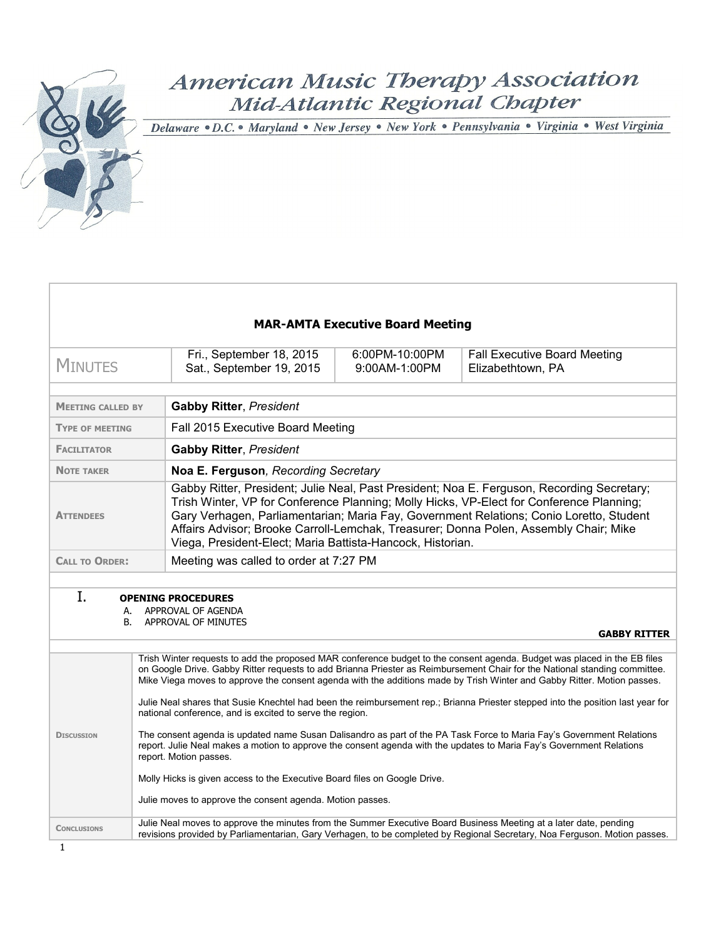# American Music Therapy Association Mid-Atlantic Regional Chapter

Delaware · D.C. · Maryland · New Jersey · New York · Pennsylvania · Virginia · West Virginia

| <b>MAR-AMTA Executive Board Meeting</b>                                                                                                                                                                                                                                                                                                                                                                                                                                                                                                                                                                                                                                                                                                                                                                                                                                                                                                                                                                                   |                                                                                                                                                                                                                                                                                                                                                                                                                                          |  |                                                                                                                           |  |  |  |
|---------------------------------------------------------------------------------------------------------------------------------------------------------------------------------------------------------------------------------------------------------------------------------------------------------------------------------------------------------------------------------------------------------------------------------------------------------------------------------------------------------------------------------------------------------------------------------------------------------------------------------------------------------------------------------------------------------------------------------------------------------------------------------------------------------------------------------------------------------------------------------------------------------------------------------------------------------------------------------------------------------------------------|------------------------------------------------------------------------------------------------------------------------------------------------------------------------------------------------------------------------------------------------------------------------------------------------------------------------------------------------------------------------------------------------------------------------------------------|--|---------------------------------------------------------------------------------------------------------------------------|--|--|--|
| <b>MINUTES</b>                                                                                                                                                                                                                                                                                                                                                                                                                                                                                                                                                                                                                                                                                                                                                                                                                                                                                                                                                                                                            | Fri., September 18, 2015<br>6:00PM-10:00PM<br><b>Fall Executive Board Meeting</b><br>Sat., September 19, 2015<br>9:00AM-1:00PM<br>Elizabethtown, PA                                                                                                                                                                                                                                                                                      |  |                                                                                                                           |  |  |  |
| <b>MEETING CALLED BY</b>                                                                                                                                                                                                                                                                                                                                                                                                                                                                                                                                                                                                                                                                                                                                                                                                                                                                                                                                                                                                  | <b>Gabby Ritter, President</b>                                                                                                                                                                                                                                                                                                                                                                                                           |  |                                                                                                                           |  |  |  |
| <b>TYPE OF MEETING</b>                                                                                                                                                                                                                                                                                                                                                                                                                                                                                                                                                                                                                                                                                                                                                                                                                                                                                                                                                                                                    | Fall 2015 Executive Board Meeting                                                                                                                                                                                                                                                                                                                                                                                                        |  |                                                                                                                           |  |  |  |
| <b>FACILITATOR</b>                                                                                                                                                                                                                                                                                                                                                                                                                                                                                                                                                                                                                                                                                                                                                                                                                                                                                                                                                                                                        | <b>Gabby Ritter, President</b>                                                                                                                                                                                                                                                                                                                                                                                                           |  |                                                                                                                           |  |  |  |
| <b>NOTE TAKER</b>                                                                                                                                                                                                                                                                                                                                                                                                                                                                                                                                                                                                                                                                                                                                                                                                                                                                                                                                                                                                         | Noa E. Ferguson, Recording Secretary                                                                                                                                                                                                                                                                                                                                                                                                     |  |                                                                                                                           |  |  |  |
| <b>ATTENDEES</b>                                                                                                                                                                                                                                                                                                                                                                                                                                                                                                                                                                                                                                                                                                                                                                                                                                                                                                                                                                                                          | Gabby Ritter, President; Julie Neal, Past President; Noa E. Ferguson, Recording Secretary;<br>Trish Winter, VP for Conference Planning; Molly Hicks, VP-Elect for Conference Planning;<br>Gary Verhagen, Parliamentarian; Maria Fay, Government Relations; Conio Loretto, Student<br>Affairs Advisor; Brooke Carroll-Lemchak, Treasurer; Donna Polen, Assembly Chair; Mike<br>Viega, President-Elect; Maria Battista-Hancock, Historian. |  |                                                                                                                           |  |  |  |
| <b>CALL TO ORDER:</b>                                                                                                                                                                                                                                                                                                                                                                                                                                                                                                                                                                                                                                                                                                                                                                                                                                                                                                                                                                                                     | Meeting was called to order at 7:27 PM                                                                                                                                                                                                                                                                                                                                                                                                   |  |                                                                                                                           |  |  |  |
| Ι.<br>А.<br>В.                                                                                                                                                                                                                                                                                                                                                                                                                                                                                                                                                                                                                                                                                                                                                                                                                                                                                                                                                                                                            | <b>OPENING PROCEDURES</b><br>APPROVAL OF AGENDA<br>APPROVAL OF MINUTES                                                                                                                                                                                                                                                                                                                                                                   |  | <b>GABBY RITTER</b>                                                                                                       |  |  |  |
| Trish Winter requests to add the proposed MAR conference budget to the consent agenda. Budget was placed in the EB files<br>on Google Drive. Gabby Ritter requests to add Brianna Priester as Reimbursement Chair for the National standing committee.<br>Mike Viega moves to approve the consent agenda with the additions made by Trish Winter and Gabby Ritter. Motion passes.<br>Julie Neal shares that Susie Knechtel had been the reimbursement rep.; Brianna Priester stepped into the position last year for<br>national conference, and is excited to serve the region.<br>The consent agenda is updated name Susan Dalisandro as part of the PA Task Force to Maria Fay's Government Relations<br><b>DISCUSSION</b><br>report. Julie Neal makes a motion to approve the consent agenda with the updates to Maria Fay's Government Relations<br>report. Motion passes.<br>Molly Hicks is given access to the Executive Board files on Google Drive.<br>Julie moves to approve the consent agenda. Motion passes. |                                                                                                                                                                                                                                                                                                                                                                                                                                          |  |                                                                                                                           |  |  |  |
| <b>CONCLUSIONS</b>                                                                                                                                                                                                                                                                                                                                                                                                                                                                                                                                                                                                                                                                                                                                                                                                                                                                                                                                                                                                        | Julie Neal moves to approve the minutes from the Summer Executive Board Business Meeting at a later date, pending                                                                                                                                                                                                                                                                                                                        |  | revisions provided by Parliamentarian, Gary Verhagen, to be completed by Regional Secretary, Noa Ferguson. Motion passes. |  |  |  |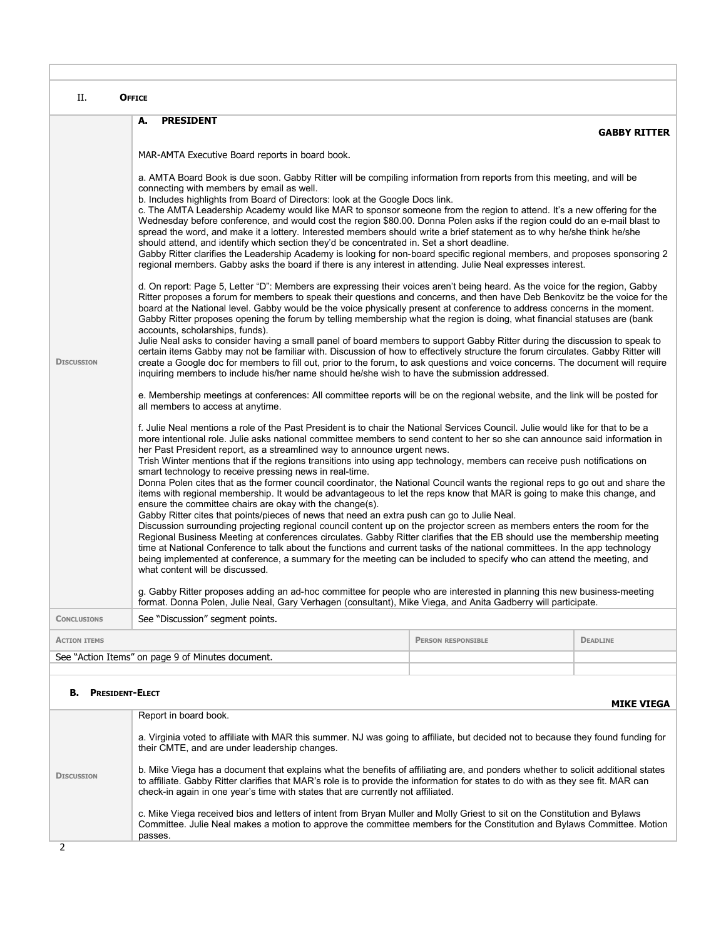| П.                                                                                                                                                                                 | <b>OFFICE</b>                                                                                                                                                                                                                                                                                                                                                                                                                                                                                                                                                                                                                                                                                                                                                                                                                                                                                                                                                                                                                                                                                                                                                                                                                                                                                                                                                                                                                                                                                                                                                                                                                                |                           |                     |  |  |
|------------------------------------------------------------------------------------------------------------------------------------------------------------------------------------|----------------------------------------------------------------------------------------------------------------------------------------------------------------------------------------------------------------------------------------------------------------------------------------------------------------------------------------------------------------------------------------------------------------------------------------------------------------------------------------------------------------------------------------------------------------------------------------------------------------------------------------------------------------------------------------------------------------------------------------------------------------------------------------------------------------------------------------------------------------------------------------------------------------------------------------------------------------------------------------------------------------------------------------------------------------------------------------------------------------------------------------------------------------------------------------------------------------------------------------------------------------------------------------------------------------------------------------------------------------------------------------------------------------------------------------------------------------------------------------------------------------------------------------------------------------------------------------------------------------------------------------------|---------------------------|---------------------|--|--|
|                                                                                                                                                                                    | А.<br><b>PRESIDENT</b>                                                                                                                                                                                                                                                                                                                                                                                                                                                                                                                                                                                                                                                                                                                                                                                                                                                                                                                                                                                                                                                                                                                                                                                                                                                                                                                                                                                                                                                                                                                                                                                                                       |                           | <b>GABBY RITTER</b> |  |  |
|                                                                                                                                                                                    | MAR-AMTA Executive Board reports in board book.                                                                                                                                                                                                                                                                                                                                                                                                                                                                                                                                                                                                                                                                                                                                                                                                                                                                                                                                                                                                                                                                                                                                                                                                                                                                                                                                                                                                                                                                                                                                                                                              |                           |                     |  |  |
|                                                                                                                                                                                    | a. AMTA Board Book is due soon. Gabby Ritter will be compiling information from reports from this meeting, and will be<br>connecting with members by email as well.<br>b. Includes highlights from Board of Directors: look at the Google Docs link.<br>c. The AMTA Leadership Academy would like MAR to sponsor someone from the region to attend. It's a new offering for the<br>Wednesday before conference, and would cost the region \$80.00. Donna Polen asks if the region could do an e-mail blast to<br>spread the word, and make it a lottery. Interested members should write a brief statement as to why he/she think he/she<br>should attend, and identify which section they'd be concentrated in. Set a short deadline.<br>Gabby Ritter clarifies the Leadership Academy is looking for non-board specific regional members, and proposes sponsoring 2<br>regional members. Gabby asks the board if there is any interest in attending. Julie Neal expresses interest.                                                                                                                                                                                                                                                                                                                                                                                                                                                                                                                                                                                                                                                        |                           |                     |  |  |
| <b>DISCUSSION</b>                                                                                                                                                                  | d. On report: Page 5, Letter "D": Members are expressing their voices aren't being heard. As the voice for the region, Gabby<br>Ritter proposes a forum for members to speak their questions and concerns, and then have Deb Benkovitz be the voice for the<br>board at the National level. Gabby would be the voice physically present at conference to address concerns in the moment.<br>Gabby Ritter proposes opening the forum by telling membership what the region is doing, what financial statuses are (bank<br>accounts, scholarships, funds).<br>Julie Neal asks to consider having a small panel of board members to support Gabby Ritter during the discussion to speak to<br>certain items Gabby may not be familiar with. Discussion of how to effectively structure the forum circulates. Gabby Ritter will<br>create a Google doc for members to fill out, prior to the forum, to ask questions and voice concerns. The document will require<br>inquiring members to include his/her name should he/she wish to have the submission addressed.                                                                                                                                                                                                                                                                                                                                                                                                                                                                                                                                                                             |                           |                     |  |  |
|                                                                                                                                                                                    | e. Membership meetings at conferences: All committee reports will be on the regional website, and the link will be posted for<br>all members to access at anytime.                                                                                                                                                                                                                                                                                                                                                                                                                                                                                                                                                                                                                                                                                                                                                                                                                                                                                                                                                                                                                                                                                                                                                                                                                                                                                                                                                                                                                                                                           |                           |                     |  |  |
|                                                                                                                                                                                    | f. Julie Neal mentions a role of the Past President is to chair the National Services Council. Julie would like for that to be a<br>more intentional role. Julie asks national committee members to send content to her so she can announce said information in<br>her Past President report, as a streamlined way to announce urgent news.<br>Trish Winter mentions that if the regions transitions into using app technology, members can receive push notifications on<br>smart technology to receive pressing news in real-time.<br>Donna Polen cites that as the former council coordinator, the National Council wants the regional reps to go out and share the<br>items with regional membership. It would be advantageous to let the reps know that MAR is going to make this change, and<br>ensure the committee chairs are okay with the change(s).<br>Gabby Ritter cites that points/pieces of news that need an extra push can go to Julie Neal.<br>Discussion surrounding projecting regional council content up on the projector screen as members enters the room for the<br>Regional Business Meeting at conferences circulates. Gabby Ritter clarifies that the EB should use the membership meeting<br>time at National Conference to talk about the functions and current tasks of the national committees. In the app technology<br>being implemented at conference, a summary for the meeting can be included to specify who can attend the meeting, and<br>what content will be discussed.<br>g. Gabby Ritter proposes adding an ad-hoc committee for people who are interested in planning this new business-meeting |                           |                     |  |  |
| <b>CONCLUSIONS</b>                                                                                                                                                                 | format. Donna Polen, Julie Neal, Gary Verhagen (consultant), Mike Viega, and Anita Gadberry will participate.<br>See "Discussion" segment points.                                                                                                                                                                                                                                                                                                                                                                                                                                                                                                                                                                                                                                                                                                                                                                                                                                                                                                                                                                                                                                                                                                                                                                                                                                                                                                                                                                                                                                                                                            |                           |                     |  |  |
| <b>ACTION ITEMS</b>                                                                                                                                                                |                                                                                                                                                                                                                                                                                                                                                                                                                                                                                                                                                                                                                                                                                                                                                                                                                                                                                                                                                                                                                                                                                                                                                                                                                                                                                                                                                                                                                                                                                                                                                                                                                                              | <b>PERSON RESPONSIBLE</b> | <b>DEADLINE</b>     |  |  |
|                                                                                                                                                                                    | See "Action Items" on page 9 of Minutes document.                                                                                                                                                                                                                                                                                                                                                                                                                                                                                                                                                                                                                                                                                                                                                                                                                                                                                                                                                                                                                                                                                                                                                                                                                                                                                                                                                                                                                                                                                                                                                                                            |                           |                     |  |  |
|                                                                                                                                                                                    |                                                                                                                                                                                                                                                                                                                                                                                                                                                                                                                                                                                                                                                                                                                                                                                                                                                                                                                                                                                                                                                                                                                                                                                                                                                                                                                                                                                                                                                                                                                                                                                                                                              |                           |                     |  |  |
| <b>PRESIDENT-ELECT</b><br>В.                                                                                                                                                       |                                                                                                                                                                                                                                                                                                                                                                                                                                                                                                                                                                                                                                                                                                                                                                                                                                                                                                                                                                                                                                                                                                                                                                                                                                                                                                                                                                                                                                                                                                                                                                                                                                              |                           | MIKE VIEGA          |  |  |
|                                                                                                                                                                                    | Report in board book.                                                                                                                                                                                                                                                                                                                                                                                                                                                                                                                                                                                                                                                                                                                                                                                                                                                                                                                                                                                                                                                                                                                                                                                                                                                                                                                                                                                                                                                                                                                                                                                                                        |                           |                     |  |  |
| a. Virginia voted to affiliate with MAR this summer. NJ was going to affiliate, but decided not to because they found funding for<br>their CMTE, and are under leadership changes. |                                                                                                                                                                                                                                                                                                                                                                                                                                                                                                                                                                                                                                                                                                                                                                                                                                                                                                                                                                                                                                                                                                                                                                                                                                                                                                                                                                                                                                                                                                                                                                                                                                              |                           |                     |  |  |
| <b>DISCUSSION</b>                                                                                                                                                                  | b. Mike Viega has a document that explains what the benefits of affiliating are, and ponders whether to solicit additional states<br>to affiliate. Gabby Ritter clarifies that MAR's role is to provide the information for states to do with as they see fit. MAR can<br>check-in again in one year's time with states that are currently not affiliated.                                                                                                                                                                                                                                                                                                                                                                                                                                                                                                                                                                                                                                                                                                                                                                                                                                                                                                                                                                                                                                                                                                                                                                                                                                                                                   |                           |                     |  |  |
|                                                                                                                                                                                    | c. Mike Viega received bios and letters of intent from Brvan Muller and Molly Griest to sit on the Constitution and Bylaws                                                                                                                                                                                                                                                                                                                                                                                                                                                                                                                                                                                                                                                                                                                                                                                                                                                                                                                                                                                                                                                                                                                                                                                                                                                                                                                                                                                                                                                                                                                   |                           |                     |  |  |

c. Mike Viega received bios and letters of intent from Bryan Muller and Molly Griest to sit on the Constitution and Bylaws Committee. Julie Neal makes a motion to approve the committee members for the Constitution and Bylaws Committee. Motion passes.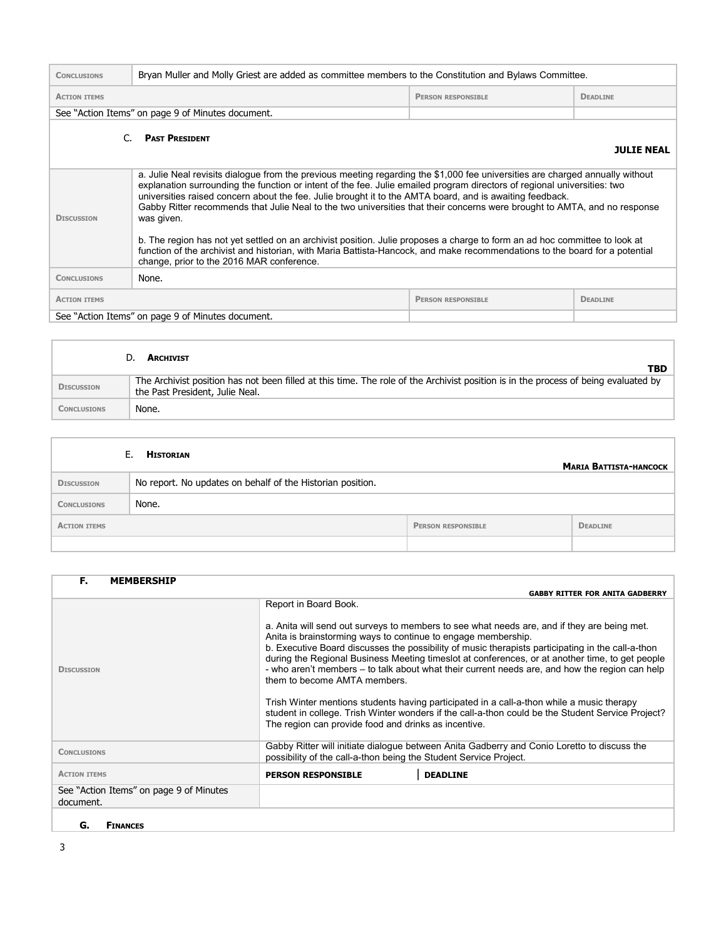| <b>CONCLUSIONS</b>                                                                                                                                                                                                                                                                                                                                                                                                                                                                                                                                                                                                                                                                                                                                                                                                                              | Bryan Muller and Molly Griest are added as committee members to the Constitution and Bylaws Committee. |  |                   |  |
|-------------------------------------------------------------------------------------------------------------------------------------------------------------------------------------------------------------------------------------------------------------------------------------------------------------------------------------------------------------------------------------------------------------------------------------------------------------------------------------------------------------------------------------------------------------------------------------------------------------------------------------------------------------------------------------------------------------------------------------------------------------------------------------------------------------------------------------------------|--------------------------------------------------------------------------------------------------------|--|-------------------|--|
| <b>ACTION ITEMS</b>                                                                                                                                                                                                                                                                                                                                                                                                                                                                                                                                                                                                                                                                                                                                                                                                                             | <b>DEADLINE</b><br><b>PERSON RESPONSIBLE</b>                                                           |  |                   |  |
| See "Action Items" on page 9 of Minutes document.                                                                                                                                                                                                                                                                                                                                                                                                                                                                                                                                                                                                                                                                                                                                                                                               |                                                                                                        |  |                   |  |
| <b>PAST PRESIDENT</b><br>C.                                                                                                                                                                                                                                                                                                                                                                                                                                                                                                                                                                                                                                                                                                                                                                                                                     |                                                                                                        |  | <b>JULTE NEAL</b> |  |
| a. Julie Neal revisits dialogue from the previous meeting regarding the \$1,000 fee universities are charged annually without<br>explanation surrounding the function or intent of the fee. Julie emailed program directors of regional universities: two<br>universities raised concern about the fee. Julie brought it to the AMTA board, and is awaiting feedback.<br>Gabby Ritter recommends that Julie Neal to the two universities that their concerns were brought to AMTA, and no response<br>was given.<br><b>DISCUSSION</b><br>b. The region has not yet settled on an archivist position. Julie proposes a charge to form an ad hoc committee to look at<br>function of the archivist and historian, with Maria Battista-Hancock, and make recommendations to the board for a potential<br>change, prior to the 2016 MAR conference. |                                                                                                        |  |                   |  |
| <b>CONCLUSIONS</b>                                                                                                                                                                                                                                                                                                                                                                                                                                                                                                                                                                                                                                                                                                                                                                                                                              | None.                                                                                                  |  |                   |  |
| <b>ACTION ITEMS</b>                                                                                                                                                                                                                                                                                                                                                                                                                                                                                                                                                                                                                                                                                                                                                                                                                             | <b>DEADLINE</b><br><b>PERSON RESPONSIBLE</b>                                                           |  |                   |  |
| See "Action Items" on page 9 of Minutes document.                                                                                                                                                                                                                                                                                                                                                                                                                                                                                                                                                                                                                                                                                                                                                                                               |                                                                                                        |  |                   |  |

|                    | <b>ARCHIVIST</b><br>TBD                                                                                                                                                |
|--------------------|------------------------------------------------------------------------------------------------------------------------------------------------------------------------|
| <b>DISCUSSION</b>  | The Archivist position has not been filled at this time. The role of the Archivist position is in the process of being evaluated by<br>the Past President, Julie Neal. |
| <b>CONCLUSIONS</b> | None.                                                                                                                                                                  |

|                     | <b>HISTORIAN</b><br>Е.                                     |                           | <b>MARIA BATTISTA-HANCOCK</b> |
|---------------------|------------------------------------------------------------|---------------------------|-------------------------------|
| <b>DISCUSSION</b>   | No report. No updates on behalf of the Historian position. |                           |                               |
| <b>CONCLUSIONS</b>  | None.                                                      |                           |                               |
| <b>ACTION ITEMS</b> |                                                            | <b>PERSON RESPONSIBLE</b> | <b>DEADLINE</b>               |
|                     |                                                            |                           |                               |

| F.<br><b>MEMBERSHIP</b>                              |                                                                                                                                                                                                                                                                                                                                                                                                                                                                                                                                                                                                                                                                                                                                                                                           |
|------------------------------------------------------|-------------------------------------------------------------------------------------------------------------------------------------------------------------------------------------------------------------------------------------------------------------------------------------------------------------------------------------------------------------------------------------------------------------------------------------------------------------------------------------------------------------------------------------------------------------------------------------------------------------------------------------------------------------------------------------------------------------------------------------------------------------------------------------------|
|                                                      | <b>GABBY RITTER FOR ANITA GADBERRY</b>                                                                                                                                                                                                                                                                                                                                                                                                                                                                                                                                                                                                                                                                                                                                                    |
| <b>DISCUSSION</b>                                    | Report in Board Book.<br>a. Anita will send out surveys to members to see what needs are, and if they are being met.<br>Anita is brainstorming ways to continue to engage membership.<br>b. Executive Board discusses the possibility of music therapists participating in the call-a-thon<br>during the Regional Business Meeting timeslot at conferences, or at another time, to get people<br>- who aren't members – to talk about what their current needs are, and how the region can help<br>them to become AMTA members.<br>Trish Winter mentions students having participated in a call-a-thon while a music therapy<br>student in college. Trish Winter wonders if the call-a-thon could be the Student Service Project?<br>The region can provide food and drinks as incentive. |
| <b>CONCLUSIONS</b>                                   | Gabby Ritter will initiate dialoque between Anita Gadberry and Conio Loretto to discuss the<br>possibility of the call-a-thon being the Student Service Project.                                                                                                                                                                                                                                                                                                                                                                                                                                                                                                                                                                                                                          |
| <b>ACTION ITEMS</b>                                  | <b>DEADLINE</b><br><b>PERSON RESPONSIBLE</b>                                                                                                                                                                                                                                                                                                                                                                                                                                                                                                                                                                                                                                                                                                                                              |
| See "Action Items" on page 9 of Minutes<br>document. |                                                                                                                                                                                                                                                                                                                                                                                                                                                                                                                                                                                                                                                                                                                                                                                           |
|                                                      |                                                                                                                                                                                                                                                                                                                                                                                                                                                                                                                                                                                                                                                                                                                                                                                           |

**G. FINANCES**

 $\mathbb{I}$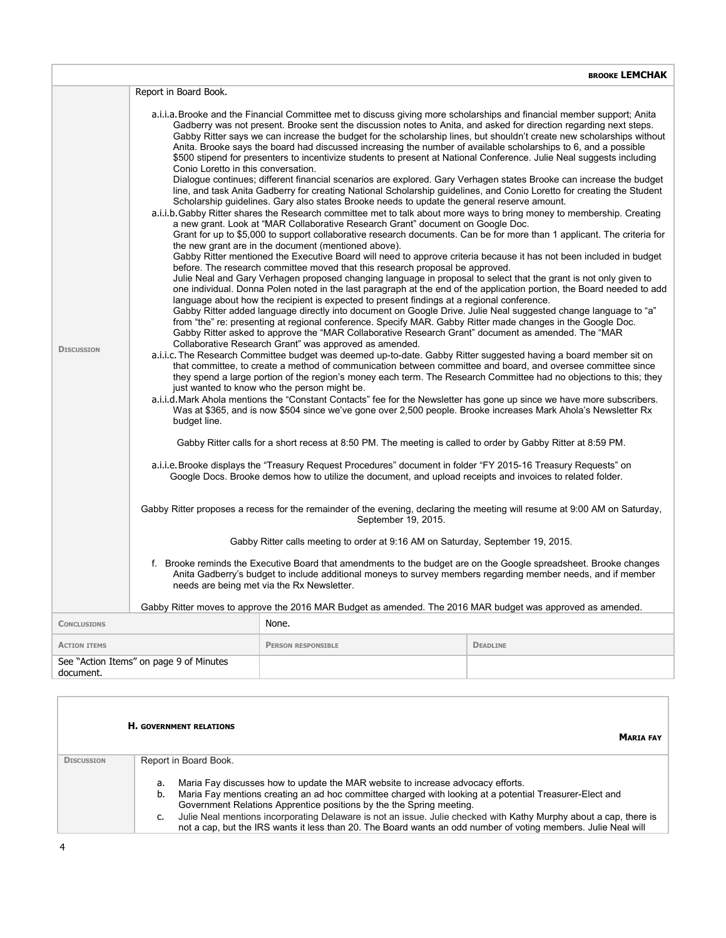|                                                                                                                                                                                                                                                                                 |                                                                                                                                                                                                                                                                                                                                                         |                                                                                                                                                                                                                                                                                                                                                                                                                                                                                                                                                                                                                                                                                                                                           | BROOKE LEMCHAK  |  |  |
|---------------------------------------------------------------------------------------------------------------------------------------------------------------------------------------------------------------------------------------------------------------------------------|---------------------------------------------------------------------------------------------------------------------------------------------------------------------------------------------------------------------------------------------------------------------------------------------------------------------------------------------------------|-------------------------------------------------------------------------------------------------------------------------------------------------------------------------------------------------------------------------------------------------------------------------------------------------------------------------------------------------------------------------------------------------------------------------------------------------------------------------------------------------------------------------------------------------------------------------------------------------------------------------------------------------------------------------------------------------------------------------------------------|-----------------|--|--|
|                                                                                                                                                                                                                                                                                 | Report in Board Book.                                                                                                                                                                                                                                                                                                                                   |                                                                                                                                                                                                                                                                                                                                                                                                                                                                                                                                                                                                                                                                                                                                           |                 |  |  |
|                                                                                                                                                                                                                                                                                 | Conio Loretto in this conversation.                                                                                                                                                                                                                                                                                                                     | a.i.i.a. Brooke and the Financial Committee met to discuss giving more scholarships and financial member support; Anita<br>Gadberry was not present. Brooke sent the discussion notes to Anita, and asked for direction regarding next steps.<br>Gabby Ritter says we can increase the budget for the scholarship lines, but shouldn't create new scholarships without<br>Anita. Brooke says the board had discussed increasing the number of available scholarships to 6, and a possible<br>\$500 stipend for presenters to incentivize students to present at National Conference. Julie Neal suggests including<br>Dialogue continues; different financial scenarios are explored. Gary Verhagen states Brooke can increase the budget |                 |  |  |
|                                                                                                                                                                                                                                                                                 | line, and task Anita Gadberry for creating National Scholarship guidelines, and Conio Loretto for creating the Student<br>Scholarship guidelines. Gary also states Brooke needs to update the general reserve amount.                                                                                                                                   |                                                                                                                                                                                                                                                                                                                                                                                                                                                                                                                                                                                                                                                                                                                                           |                 |  |  |
|                                                                                                                                                                                                                                                                                 |                                                                                                                                                                                                                                                                                                                                                         | a.i.i.b.Gabby Ritter shares the Research committee met to talk about more ways to bring money to membership. Creating<br>a new grant. Look at "MAR Collaborative Research Grant" document on Google Doc.                                                                                                                                                                                                                                                                                                                                                                                                                                                                                                                                  |                 |  |  |
|                                                                                                                                                                                                                                                                                 |                                                                                                                                                                                                                                                                                                                                                         | Grant for up to \$5,000 to support collaborative research documents. Can be for more than 1 applicant. The criteria for<br>the new grant are in the document (mentioned above).                                                                                                                                                                                                                                                                                                                                                                                                                                                                                                                                                           |                 |  |  |
|                                                                                                                                                                                                                                                                                 |                                                                                                                                                                                                                                                                                                                                                         | Gabby Ritter mentioned the Executive Board will need to approve criteria because it has not been included in budget<br>before. The research committee moved that this research proposal be approved.                                                                                                                                                                                                                                                                                                                                                                                                                                                                                                                                      |                 |  |  |
|                                                                                                                                                                                                                                                                                 |                                                                                                                                                                                                                                                                                                                                                         | Julie Neal and Gary Verhagen proposed changing language in proposal to select that the grant is not only given to<br>one individual. Donna Polen noted in the last paragraph at the end of the application portion, the Board needed to add<br>language about how the recipient is expected to present findings at a regional conference.                                                                                                                                                                                                                                                                                                                                                                                                 |                 |  |  |
|                                                                                                                                                                                                                                                                                 |                                                                                                                                                                                                                                                                                                                                                         | Gabby Ritter added language directly into document on Google Drive. Julie Neal suggested change language to "a"<br>from "the" re: presenting at regional conference. Specify MAR. Gabby Ritter made changes in the Google Doc.<br>Gabby Ritter asked to approve the "MAR Collaborative Research Grant" document as amended. The "MAR                                                                                                                                                                                                                                                                                                                                                                                                      |                 |  |  |
| <b>DISCUSSION</b>                                                                                                                                                                                                                                                               |                                                                                                                                                                                                                                                                                                                                                         | Collaborative Research Grant" was approved as amended.                                                                                                                                                                                                                                                                                                                                                                                                                                                                                                                                                                                                                                                                                    |                 |  |  |
|                                                                                                                                                                                                                                                                                 | a.i.i.c. The Research Committee budget was deemed up-to-date. Gabby Ritter suggested having a board member sit on<br>that committee, to create a method of communication between committee and board, and oversee committee since<br>they spend a large portion of the region's money each term. The Research Committee had no objections to this; they |                                                                                                                                                                                                                                                                                                                                                                                                                                                                                                                                                                                                                                                                                                                                           |                 |  |  |
|                                                                                                                                                                                                                                                                                 | just wanted to know who the person might be.<br>a.i.i.d. Mark Ahola mentions the "Constant Contacts" fee for the Newsletter has gone up since we have more subscribers.<br>Was at \$365, and is now \$504 since we've gone over 2,500 people. Brooke increases Mark Ahola's Newsletter Rx<br>budget line.                                               |                                                                                                                                                                                                                                                                                                                                                                                                                                                                                                                                                                                                                                                                                                                                           |                 |  |  |
|                                                                                                                                                                                                                                                                                 | Gabby Ritter calls for a short recess at 8:50 PM. The meeting is called to order by Gabby Ritter at 8:59 PM.                                                                                                                                                                                                                                            |                                                                                                                                                                                                                                                                                                                                                                                                                                                                                                                                                                                                                                                                                                                                           |                 |  |  |
|                                                                                                                                                                                                                                                                                 | a.i.i.e. Brooke displays the "Treasury Request Procedures" document in folder "FY 2015-16 Treasury Requests" on<br>Google Docs. Brooke demos how to utilize the document, and upload receipts and invoices to related folder.                                                                                                                           |                                                                                                                                                                                                                                                                                                                                                                                                                                                                                                                                                                                                                                                                                                                                           |                 |  |  |
|                                                                                                                                                                                                                                                                                 | Gabby Ritter proposes a recess for the remainder of the evening, declaring the meeting will resume at 9:00 AM on Saturday,<br>September 19, 2015.                                                                                                                                                                                                       |                                                                                                                                                                                                                                                                                                                                                                                                                                                                                                                                                                                                                                                                                                                                           |                 |  |  |
|                                                                                                                                                                                                                                                                                 | Gabby Ritter calls meeting to order at 9:16 AM on Saturday, September 19, 2015.                                                                                                                                                                                                                                                                         |                                                                                                                                                                                                                                                                                                                                                                                                                                                                                                                                                                                                                                                                                                                                           |                 |  |  |
| f. Brooke reminds the Executive Board that amendments to the budget are on the Google spreadsheet. Brooke changes<br>Anita Gadberry's budget to include additional moneys to survey members regarding member needs, and if member<br>needs are being met via the Rx Newsletter. |                                                                                                                                                                                                                                                                                                                                                         |                                                                                                                                                                                                                                                                                                                                                                                                                                                                                                                                                                                                                                                                                                                                           |                 |  |  |
|                                                                                                                                                                                                                                                                                 |                                                                                                                                                                                                                                                                                                                                                         | Gabby Ritter moves to approve the 2016 MAR Budget as amended. The 2016 MAR budget was approved as amended.                                                                                                                                                                                                                                                                                                                                                                                                                                                                                                                                                                                                                                |                 |  |  |
| <b>CONCLUSIONS</b>                                                                                                                                                                                                                                                              |                                                                                                                                                                                                                                                                                                                                                         | None.                                                                                                                                                                                                                                                                                                                                                                                                                                                                                                                                                                                                                                                                                                                                     |                 |  |  |
| <b>ACTION ITEMS</b>                                                                                                                                                                                                                                                             |                                                                                                                                                                                                                                                                                                                                                         | <b>PERSON RESPONSIBLE</b>                                                                                                                                                                                                                                                                                                                                                                                                                                                                                                                                                                                                                                                                                                                 | <b>DEADLINE</b> |  |  |
| See "Action Items" on page 9 of Minutes<br>document.                                                                                                                                                                                                                            |                                                                                                                                                                                                                                                                                                                                                         |                                                                                                                                                                                                                                                                                                                                                                                                                                                                                                                                                                                                                                                                                                                                           |                 |  |  |

|                   | <b>H. GOVERNMENT RELATIONS</b><br><b>MARTA FAY</b>                                                                                                                                                                                        |
|-------------------|-------------------------------------------------------------------------------------------------------------------------------------------------------------------------------------------------------------------------------------------|
| <b>DISCUSSION</b> | Report in Board Book.                                                                                                                                                                                                                     |
|                   | Maria Fay discusses how to update the MAR website to increase advocacy efforts.<br>a.                                                                                                                                                     |
|                   | Maria Fay mentions creating an ad hoc committee charged with looking at a potential Treasurer-Elect and<br>b.<br>Government Relations Apprentice positions by the the Spring meeting.                                                     |
|                   | Julie Neal mentions incorporating Delaware is not an issue. Julie checked with Kathy Murphy about a cap, there is<br>c.<br>not a cap, but the IRS wants it less than 20. The Board wants an odd number of voting members. Julie Neal will |

Г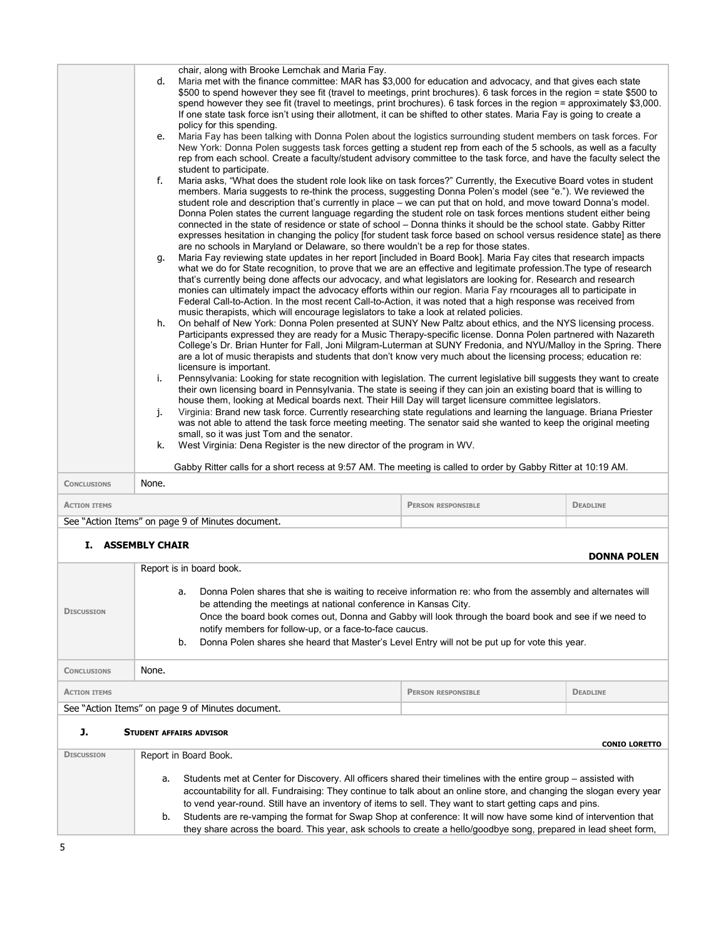|                          | d.    | chair, along with Brooke Lemchak and Maria Fay.<br>Maria met with the finance committee: MAR has \$3,000 for education and advocacy, and that gives each state                                                                                   |                           |                    |
|--------------------------|-------|--------------------------------------------------------------------------------------------------------------------------------------------------------------------------------------------------------------------------------------------------|---------------------------|--------------------|
|                          |       | \$500 to spend however they see fit (travel to meetings, print brochures). 6 task forces in the region = state \$500 to                                                                                                                          |                           |                    |
|                          |       | spend however they see fit (travel to meetings, print brochures). 6 task forces in the region = approximately \$3,000.<br>If one state task force isn't using their allotment, it can be shifted to other states. Maria Fay is going to create a |                           |                    |
|                          |       | policy for this spending.                                                                                                                                                                                                                        |                           |                    |
|                          | e.    | Maria Fay has been talking with Donna Polen about the logistics surrounding student members on task forces. For                                                                                                                                  |                           |                    |
|                          |       | New York: Donna Polen suggests task forces getting a student rep from each of the 5 schools, as well as a faculty<br>rep from each school. Create a faculty/student advisory committee to the task force, and have the faculty select the        |                           |                    |
|                          |       | student to participate.                                                                                                                                                                                                                          |                           |                    |
|                          | f.    | Maria asks, "What does the student role look like on task forces?" Currently, the Executive Board votes in student<br>members. Maria suggests to re-think the process, suggesting Donna Polen's model (see "e."). We reviewed the                |                           |                    |
|                          |       | student role and description that's currently in place - we can put that on hold, and move toward Donna's model.                                                                                                                                 |                           |                    |
|                          |       | Donna Polen states the current language regarding the student role on task forces mentions student either being<br>connected in the state of residence or state of school - Donna thinks it should be the school state. Gabby Ritter             |                           |                    |
|                          |       | expresses hesitation in changing the policy [for student task force based on school versus residence state] as there                                                                                                                             |                           |                    |
|                          | q.    | are no schools in Maryland or Delaware, so there wouldn't be a rep for those states.<br>Maria Fay reviewing state updates in her report [included in Board Book]. Maria Fay cites that research impacts                                          |                           |                    |
|                          |       | what we do for State recognition, to prove that we are an effective and legitimate profession. The type of research                                                                                                                              |                           |                    |
|                          |       | that's currently being done affects our advocacy, and what legislators are looking for. Research and research<br>monies can ultimately impact the advocacy efforts within our region. Maria Fay rncourages all to participate in                 |                           |                    |
|                          |       | Federal Call-to-Action. In the most recent Call-to-Action, it was noted that a high response was received from<br>music therapists, which will encourage legislators to take a look at related policies.                                         |                           |                    |
|                          | h.    | On behalf of New York: Donna Polen presented at SUNY New Paltz about ethics, and the NYS licensing process.                                                                                                                                      |                           |                    |
|                          |       | Participants expressed they are ready for a Music Therapy-specific license. Donna Polen partnered with Nazareth<br>College's Dr. Brian Hunter for Fall, Joni Milgram-Luterman at SUNY Fredonia, and NYU/Malloy in the Spring. There              |                           |                    |
|                          |       | are a lot of music therapists and students that don't know very much about the licensing process; education re:                                                                                                                                  |                           |                    |
|                          | i.    | licensure is important.<br>Pennsylvania: Looking for state recognition with legislation. The current legislative bill suggests they want to create                                                                                               |                           |                    |
|                          |       | their own licensing board in Pennsylvania. The state is seeing if they can join an existing board that is willing to                                                                                                                             |                           |                    |
|                          | j.    | house them, looking at Medical boards next. Their Hill Day will target licensure committee legislators.<br>Virginia: Brand new task force. Currently researching state regulations and learning the language. Briana Priester                    |                           |                    |
|                          |       | was not able to attend the task force meeting meeting. The senator said she wanted to keep the original meeting                                                                                                                                  |                           |                    |
|                          | k.    | small, so it was just Tom and the senator.<br>West Virginia: Dena Register is the new director of the program in WV.                                                                                                                             |                           |                    |
|                          |       |                                                                                                                                                                                                                                                  |                           |                    |
|                          |       | Gabby Ritter calls for a short recess at 9:57 AM. The meeting is called to order by Gabby Ritter at 10:19 AM.                                                                                                                                    |                           |                    |
| <b>CONCLUSIONS</b>       | None. |                                                                                                                                                                                                                                                  |                           |                    |
| <b>ACTION ITEMS</b>      |       |                                                                                                                                                                                                                                                  | <b>PERSON RESPONSIBLE</b> | <b>DEADLINE</b>    |
|                          |       | See "Action Items" on page 9 of Minutes document.                                                                                                                                                                                                |                           |                    |
| <b>I. ASSEMBLY CHAIR</b> |       |                                                                                                                                                                                                                                                  |                           |                    |
|                          |       |                                                                                                                                                                                                                                                  |                           | <b>DONNA POLEN</b> |
|                          |       | Report is in board book.                                                                                                                                                                                                                         |                           |                    |

| <b>DISCUSSION</b>                                            | <b>REPORT IS ITT DOCTOR DOORS</b><br>Donna Polen shares that she is waiting to receive information re: who from the assembly and alternates will<br>a.<br>be attending the meetings at national conference in Kansas City.<br>Once the board book comes out, Donna and Gabby will look through the board book and see if we need to<br>notify members for follow-up, or a face-to-face caucus.<br>Donna Polen shares she heard that Master's Level Entry will not be put up for vote this year.<br>b.                                                                                                 |  |  |  |  |
|--------------------------------------------------------------|-------------------------------------------------------------------------------------------------------------------------------------------------------------------------------------------------------------------------------------------------------------------------------------------------------------------------------------------------------------------------------------------------------------------------------------------------------------------------------------------------------------------------------------------------------------------------------------------------------|--|--|--|--|
| <b>CONCLUSIONS</b>                                           | None.                                                                                                                                                                                                                                                                                                                                                                                                                                                                                                                                                                                                 |  |  |  |  |
| <b>ACTION ITEMS</b>                                          | <b>DEADLINE</b><br><b>PERSON RESPONSIBLE</b>                                                                                                                                                                                                                                                                                                                                                                                                                                                                                                                                                          |  |  |  |  |
|                                                              | See "Action Items" on page 9 of Minutes document.                                                                                                                                                                                                                                                                                                                                                                                                                                                                                                                                                     |  |  |  |  |
| J.<br><b>STUDENT AFFAIRS ADVISOR</b><br><b>CONIO LORETTO</b> |                                                                                                                                                                                                                                                                                                                                                                                                                                                                                                                                                                                                       |  |  |  |  |
| <b>DISCUSSION</b>                                            | Report in Board Book.                                                                                                                                                                                                                                                                                                                                                                                                                                                                                                                                                                                 |  |  |  |  |
|                                                              | Students met at Center for Discovery. All officers shared their timelines with the entire group – assisted with<br>a.<br>accountability for all. Fundraising: They continue to talk about an online store, and changing the slogan every year<br>to vend year-round. Still have an inventory of items to sell. They want to start getting caps and pins.<br>Students are re-vamping the format for Swap Shop at conference: It will now have some kind of intervention that<br>b.<br>they share across the board. This year, ask schools to create a hello/goodbye song, prepared in lead sheet form, |  |  |  |  |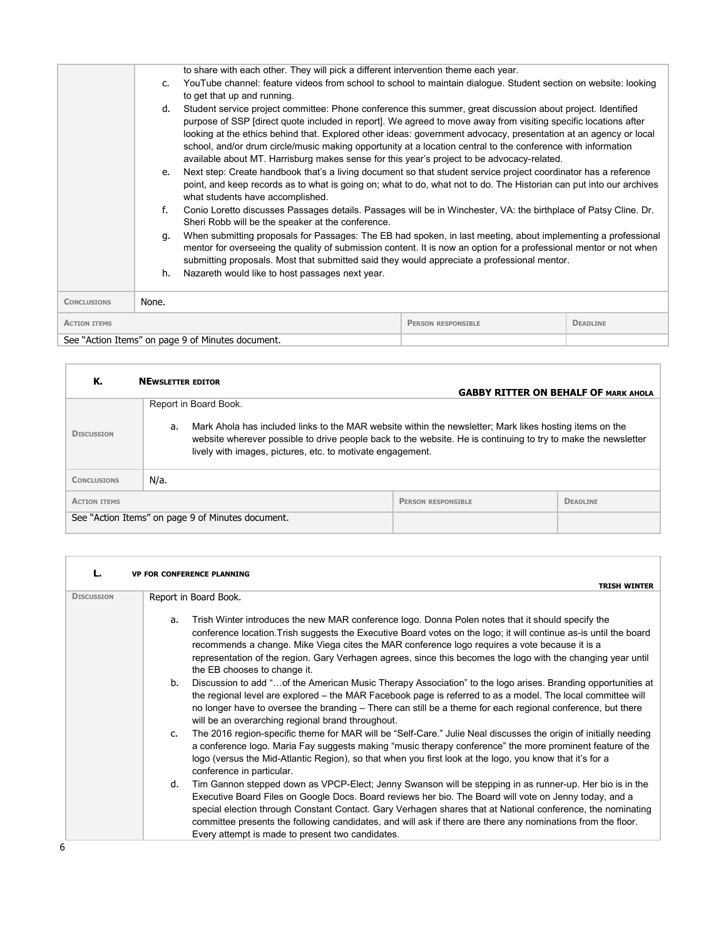|                                                                     |                                                                                                                                                                                                                                                                                                                                                                                                                                                                                                                                                                                                                                                                                                                                          | to share with each other. They will pick a different intervention theme each year.                                                                                    |  |  |
|---------------------------------------------------------------------|------------------------------------------------------------------------------------------------------------------------------------------------------------------------------------------------------------------------------------------------------------------------------------------------------------------------------------------------------------------------------------------------------------------------------------------------------------------------------------------------------------------------------------------------------------------------------------------------------------------------------------------------------------------------------------------------------------------------------------------|-----------------------------------------------------------------------------------------------------------------------------------------------------------------------|--|--|
|                                                                     | YouTube channel: feature videos from school to school to maintain dialoque. Student section on website: looking<br>$\mathsf{C}$<br>to get that up and running.<br>Student service project committee: Phone conference this summer, great discussion about project. Identified<br>d.<br>purpose of SSP [direct quote included in report]. We agreed to move away from visiting specific locations after<br>looking at the ethics behind that. Explored other ideas: government advocacy, presentation at an agency or local<br>school, and/or drum circle/music making opportunity at a location central to the conference with information<br>available about MT. Harrisburg makes sense for this year's project to be advocacy-related. |                                                                                                                                                                       |  |  |
|                                                                     |                                                                                                                                                                                                                                                                                                                                                                                                                                                                                                                                                                                                                                                                                                                                          |                                                                                                                                                                       |  |  |
|                                                                     | Next step: Create handbook that's a living document so that student service project coordinator has a reference<br>e.<br>point, and keep records as to what is going on; what to do, what not to do. The Historian can put into our archives<br>what students have accomplished.                                                                                                                                                                                                                                                                                                                                                                                                                                                         |                                                                                                                                                                       |  |  |
|                                                                     | f.                                                                                                                                                                                                                                                                                                                                                                                                                                                                                                                                                                                                                                                                                                                                       | Conio Loretto discusses Passages details. Passages will be in Winchester, VA: the birthplace of Patsy Cline. Dr.<br>Sheri Robb will be the speaker at the conference. |  |  |
|                                                                     | When submitting proposals for Passages: The EB had spoken, in last meeting, about implementing a professional<br>q.<br>mentor for overseeing the quality of submission content. It is now an option for a professional mentor or not when<br>submitting proposals. Most that submitted said they would appreciate a professional mentor.                                                                                                                                                                                                                                                                                                                                                                                                 |                                                                                                                                                                       |  |  |
|                                                                     | h.                                                                                                                                                                                                                                                                                                                                                                                                                                                                                                                                                                                                                                                                                                                                       | Nazareth would like to host passages next year.                                                                                                                       |  |  |
| <b>CONCLUSIONS</b>                                                  | None.                                                                                                                                                                                                                                                                                                                                                                                                                                                                                                                                                                                                                                                                                                                                    |                                                                                                                                                                       |  |  |
| <b>PERSON RESPONSIBLE</b><br><b>DEADLINE</b><br><b>ACTION ITEMS</b> |                                                                                                                                                                                                                                                                                                                                                                                                                                                                                                                                                                                                                                                                                                                                          |                                                                                                                                                                       |  |  |
|                                                                     |                                                                                                                                                                                                                                                                                                                                                                                                                                                                                                                                                                                                                                                                                                                                          | See "Action Items" on page 9 of Minutes document.                                                                                                                     |  |  |

| К.                  | <b>NEWSLETTER EDITOR</b>                                                                                                                                                                                                                                                                                              | <b>GABBY RITTER ON BEHALF OF MARK AHOLA</b> |                 |
|---------------------|-----------------------------------------------------------------------------------------------------------------------------------------------------------------------------------------------------------------------------------------------------------------------------------------------------------------------|---------------------------------------------|-----------------|
| <b>DISCUSSION</b>   | Report in Board Book.<br>Mark Ahola has included links to the MAR website within the newsletter; Mark likes hosting items on the<br>a.<br>website wherever possible to drive people back to the website. He is continuing to try to make the newsletter<br>lively with images, pictures, etc. to motivate engagement. |                                             |                 |
| <b>CONCLUSIONS</b>  | N/a.                                                                                                                                                                                                                                                                                                                  |                                             |                 |
| <b>ACTION ITEMS</b> |                                                                                                                                                                                                                                                                                                                       | <b>PERSON RESPONSIBLE</b>                   | <b>DEADLINE</b> |
|                     | See "Action Items" on page 9 of Minutes document.                                                                                                                                                                                                                                                                     |                                             |                 |

| L.                | <b>VP FOR CONFERENCE PLANNING</b>                                                                                                                                                                                                                                                                                                                                                                                                                                                                           |
|-------------------|-------------------------------------------------------------------------------------------------------------------------------------------------------------------------------------------------------------------------------------------------------------------------------------------------------------------------------------------------------------------------------------------------------------------------------------------------------------------------------------------------------------|
| <b>DISCUSSION</b> | <b>TRISH WINTER</b>                                                                                                                                                                                                                                                                                                                                                                                                                                                                                         |
|                   | Report in Board Book.                                                                                                                                                                                                                                                                                                                                                                                                                                                                                       |
|                   | Trish Winter introduces the new MAR conference logo. Donna Polen notes that it should specify the<br>a.<br>conference location. Trish suggests the Executive Board votes on the logo; it will continue as-is until the board<br>recommends a change. Mike Viega cites the MAR conference logo requires a vote because it is a<br>representation of the region. Gary Verhagen agrees, since this becomes the logo with the changing year until<br>the EB chooses to change it.                               |
|                   | b.<br>Discussion to add "of the American Music Therapy Association" to the logo arises. Branding opportunities at<br>the regional level are explored – the MAR Facebook page is referred to as a model. The local committee will<br>no longer have to oversee the branding – There can still be a theme for each regional conference, but there<br>will be an overarching regional brand throughout.                                                                                                        |
|                   | The 2016 region-specific theme for MAR will be "Self-Care." Julie Neal discusses the origin of initially needing<br>$\mathsf{C}$ .<br>a conference logo. Maria Fay suggests making "music therapy conference" the more prominent feature of the<br>logo (versus the Mid-Atlantic Region), so that when you first look at the logo, you know that it's for a<br>conference in particular.                                                                                                                    |
|                   | Tim Gannon stepped down as VPCP-Elect; Jenny Swanson will be stepping in as runner-up. Her bio is in the<br>d.<br>Executive Board Files on Google Docs. Board reviews her bio. The Board will vote on Jenny today, and a<br>special election through Constant Contact. Gary Verhagen shares that at National conference, the nominating<br>committee presents the following candidates, and will ask if there are there any nominations from the floor.<br>Every attempt is made to present two candidates. |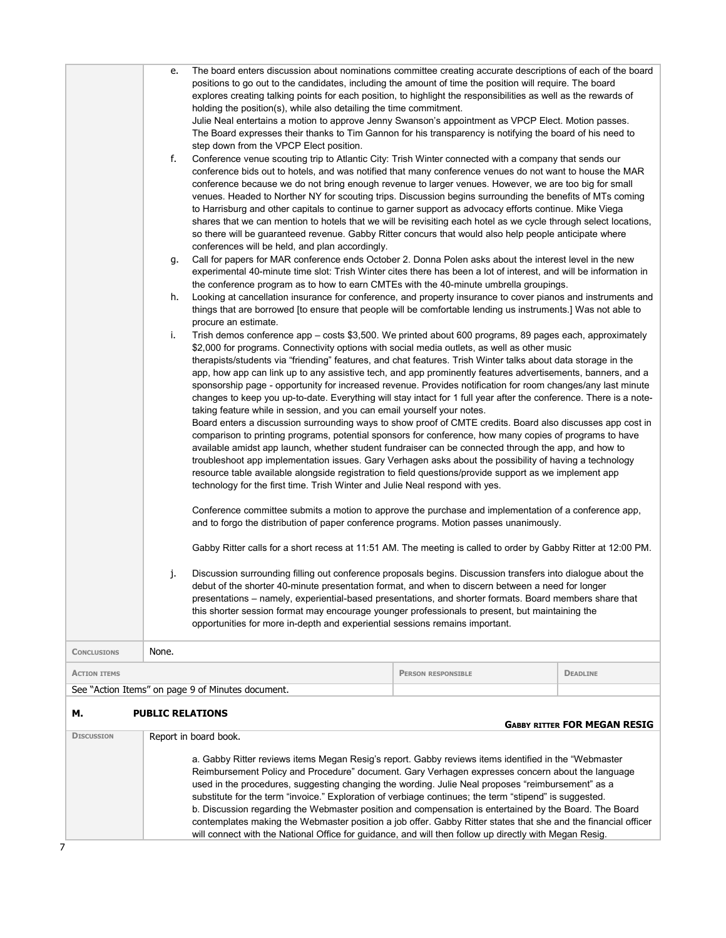| <b>DISCUSSION</b>   |                            | Report in board book.<br>a. Gabby Ritter reviews items Megan Resig's report. Gabby reviews items identified in the "Webmaster<br>Reimbursement Policy and Procedure" document. Gary Verhagen expresses concern about the language<br>used in the procedures, suggesting changing the wording. Julie Neal proposes "reimbursement" as a<br>substitute for the term "invoice." Exploration of verbiage continues; the term "stipend" is suggested.<br>b. Discussion regarding the Webmaster position and compensation is entertained by the Board. The Board<br>contemplates making the Webmaster position a job offer. Gabby Ritter states that she and the financial officer<br>will connect with the National Office for guidance, and will then follow up directly with Megan Resig.                                                                                                                                                                                                                                                                                                                                                                                                                                                                                                                                                                                                                                                                                                                                                                                                                                                                                                                                                                                                                                                                                                                                                                                                                                                                                                                                                                                                                                                                                                                                                                                                                                                                                                                                                                                                                                                                                                                                                                                                                                                                                                                                                                                                                                                                                                                                                                                                                                                                                                                                                                                                                                                                                                                                                                                                                                                                                                                                                                                                                                                                                                                                                                                                                                                                                                                                 |                           |                                     |
|---------------------|----------------------------|------------------------------------------------------------------------------------------------------------------------------------------------------------------------------------------------------------------------------------------------------------------------------------------------------------------------------------------------------------------------------------------------------------------------------------------------------------------------------------------------------------------------------------------------------------------------------------------------------------------------------------------------------------------------------------------------------------------------------------------------------------------------------------------------------------------------------------------------------------------------------------------------------------------------------------------------------------------------------------------------------------------------------------------------------------------------------------------------------------------------------------------------------------------------------------------------------------------------------------------------------------------------------------------------------------------------------------------------------------------------------------------------------------------------------------------------------------------------------------------------------------------------------------------------------------------------------------------------------------------------------------------------------------------------------------------------------------------------------------------------------------------------------------------------------------------------------------------------------------------------------------------------------------------------------------------------------------------------------------------------------------------------------------------------------------------------------------------------------------------------------------------------------------------------------------------------------------------------------------------------------------------------------------------------------------------------------------------------------------------------------------------------------------------------------------------------------------------------------------------------------------------------------------------------------------------------------------------------------------------------------------------------------------------------------------------------------------------------------------------------------------------------------------------------------------------------------------------------------------------------------------------------------------------------------------------------------------------------------------------------------------------------------------------------------------------------------------------------------------------------------------------------------------------------------------------------------------------------------------------------------------------------------------------------------------------------------------------------------------------------------------------------------------------------------------------------------------------------------------------------------------------------------------------------------------------------------------------------------------------------------------------------------------------------------------------------------------------------------------------------------------------------------------------------------------------------------------------------------------------------------------------------------------------------------------------------------------------------------------------------------------------------------------------------------------------------------------------------------------------------|---------------------------|-------------------------------------|
| М.                  | <b>PUBLIC RELATIONS</b>    |                                                                                                                                                                                                                                                                                                                                                                                                                                                                                                                                                                                                                                                                                                                                                                                                                                                                                                                                                                                                                                                                                                                                                                                                                                                                                                                                                                                                                                                                                                                                                                                                                                                                                                                                                                                                                                                                                                                                                                                                                                                                                                                                                                                                                                                                                                                                                                                                                                                                                                                                                                                                                                                                                                                                                                                                                                                                                                                                                                                                                                                                                                                                                                                                                                                                                                                                                                                                                                                                                                                                                                                                                                                                                                                                                                                                                                                                                                                                                                                                                                                                                                                        |                           | <b>GABBY RITTER FOR MEGAN RESIG</b> |
|                     |                            | See "Action Items" on page 9 of Minutes document.                                                                                                                                                                                                                                                                                                                                                                                                                                                                                                                                                                                                                                                                                                                                                                                                                                                                                                                                                                                                                                                                                                                                                                                                                                                                                                                                                                                                                                                                                                                                                                                                                                                                                                                                                                                                                                                                                                                                                                                                                                                                                                                                                                                                                                                                                                                                                                                                                                                                                                                                                                                                                                                                                                                                                                                                                                                                                                                                                                                                                                                                                                                                                                                                                                                                                                                                                                                                                                                                                                                                                                                                                                                                                                                                                                                                                                                                                                                                                                                                                                                                      |                           |                                     |
| <b>ACTION ITEMS</b> |                            |                                                                                                                                                                                                                                                                                                                                                                                                                                                                                                                                                                                                                                                                                                                                                                                                                                                                                                                                                                                                                                                                                                                                                                                                                                                                                                                                                                                                                                                                                                                                                                                                                                                                                                                                                                                                                                                                                                                                                                                                                                                                                                                                                                                                                                                                                                                                                                                                                                                                                                                                                                                                                                                                                                                                                                                                                                                                                                                                                                                                                                                                                                                                                                                                                                                                                                                                                                                                                                                                                                                                                                                                                                                                                                                                                                                                                                                                                                                                                                                                                                                                                                                        | <b>PERSON RESPONSIBLE</b> | <b>DEADLINE</b>                     |
| <b>CONCLUSIONS</b>  | None.                      |                                                                                                                                                                                                                                                                                                                                                                                                                                                                                                                                                                                                                                                                                                                                                                                                                                                                                                                                                                                                                                                                                                                                                                                                                                                                                                                                                                                                                                                                                                                                                                                                                                                                                                                                                                                                                                                                                                                                                                                                                                                                                                                                                                                                                                                                                                                                                                                                                                                                                                                                                                                                                                                                                                                                                                                                                                                                                                                                                                                                                                                                                                                                                                                                                                                                                                                                                                                                                                                                                                                                                                                                                                                                                                                                                                                                                                                                                                                                                                                                                                                                                                                        |                           |                                     |
|                     | f.<br>g.<br>h.<br>i.<br>j. | explores creating talking points for each position, to highlight the responsibilities as well as the rewards of<br>holding the position(s), while also detailing the time commitment.<br>Julie Neal entertains a motion to approve Jenny Swanson's appointment as VPCP Elect. Motion passes.<br>The Board expresses their thanks to Tim Gannon for his transparency is notifying the board of his need to<br>step down from the VPCP Elect position.<br>Conference venue scouting trip to Atlantic City: Trish Winter connected with a company that sends our<br>conference bids out to hotels, and was notified that many conference venues do not want to house the MAR<br>conference because we do not bring enough revenue to larger venues. However, we are too big for small<br>venues. Headed to Norther NY for scouting trips. Discussion begins surrounding the benefits of MTs coming<br>to Harrisburg and other capitals to continue to garner support as advocacy efforts continue. Mike Viega<br>shares that we can mention to hotels that we will be revisiting each hotel as we cycle through select locations,<br>so there will be guaranteed revenue. Gabby Ritter concurs that would also help people anticipate where<br>conferences will be held, and plan accordingly.<br>Call for papers for MAR conference ends October 2. Donna Polen asks about the interest level in the new<br>experimental 40-minute time slot: Trish Winter cites there has been a lot of interest, and will be information in<br>the conference program as to how to earn CMTEs with the 40-minute umbrella groupings.<br>Looking at cancellation insurance for conference, and property insurance to cover pianos and instruments and<br>things that are borrowed [to ensure that people will be comfortable lending us instruments.] Was not able to<br>procure an estimate.<br>Trish demos conference app – costs \$3,500. We printed about 600 programs, 89 pages each, approximately<br>\$2,000 for programs. Connectivity options with social media outlets, as well as other music<br>therapists/students via "friending" features, and chat features. Trish Winter talks about data storage in the<br>app, how app can link up to any assistive tech, and app prominently features advertisements, banners, and a<br>sponsorship page - opportunity for increased revenue. Provides notification for room changes/any last minute<br>changes to keep you up-to-date. Everything will stay intact for 1 full year after the conference. There is a note-<br>taking feature while in session, and you can email yourself your notes.<br>Board enters a discussion surrounding ways to show proof of CMTE credits. Board also discusses app cost in<br>comparison to printing programs, potential sponsors for conference, how many copies of programs to have<br>available amidst app launch, whether student fundraiser can be connected through the app, and how to<br>troubleshoot app implementation issues. Gary Verhagen asks about the possibility of having a technology<br>resource table available alongside registration to field questions/provide support as we implement app<br>technology for the first time. Trish Winter and Julie Neal respond with yes.<br>Conference committee submits a motion to approve the purchase and implementation of a conference app,<br>and to forgo the distribution of paper conference programs. Motion passes unanimously.<br>Gabby Ritter calls for a short recess at 11:51 AM. The meeting is called to order by Gabby Ritter at 12:00 PM.<br>Discussion surrounding filling out conference proposals begins. Discussion transfers into dialogue about the<br>debut of the shorter 40-minute presentation format, and when to discern between a need for longer<br>presentations - namely, experiential-based presentations, and shorter formats. Board members share that<br>this shorter session format may encourage younger professionals to present, but maintaining the<br>opportunities for more in-depth and experiential sessions remains important. |                           |                                     |
|                     |                            | positions to go out to the candidates, including the amount of time the position will require. The board                                                                                                                                                                                                                                                                                                                                                                                                                                                                                                                                                                                                                                                                                                                                                                                                                                                                                                                                                                                                                                                                                                                                                                                                                                                                                                                                                                                                                                                                                                                                                                                                                                                                                                                                                                                                                                                                                                                                                                                                                                                                                                                                                                                                                                                                                                                                                                                                                                                                                                                                                                                                                                                                                                                                                                                                                                                                                                                                                                                                                                                                                                                                                                                                                                                                                                                                                                                                                                                                                                                                                                                                                                                                                                                                                                                                                                                                                                                                                                                                               |                           |                                     |
|                     | е.                         | The board enters discussion about nominations committee creating accurate descriptions of each of the board                                                                                                                                                                                                                                                                                                                                                                                                                                                                                                                                                                                                                                                                                                                                                                                                                                                                                                                                                                                                                                                                                                                                                                                                                                                                                                                                                                                                                                                                                                                                                                                                                                                                                                                                                                                                                                                                                                                                                                                                                                                                                                                                                                                                                                                                                                                                                                                                                                                                                                                                                                                                                                                                                                                                                                                                                                                                                                                                                                                                                                                                                                                                                                                                                                                                                                                                                                                                                                                                                                                                                                                                                                                                                                                                                                                                                                                                                                                                                                                                            |                           |                                     |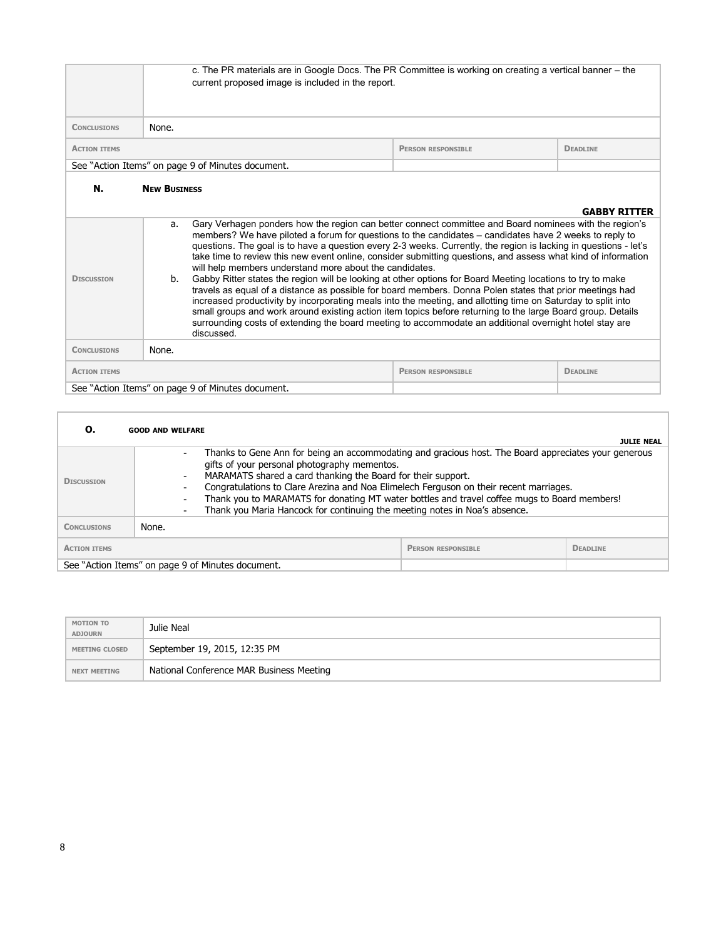|                                                   | c. The PR materials are in Google Docs. The PR Committee is working on creating a vertical banner – the<br>current proposed image is included in the report.                                                                                                                                                                                                                                                                                                                                                                                                                                                                                                                                                                                                                                                                                                                                                                                                                                                                                                                                                                                                |                           |                 |
|---------------------------------------------------|-------------------------------------------------------------------------------------------------------------------------------------------------------------------------------------------------------------------------------------------------------------------------------------------------------------------------------------------------------------------------------------------------------------------------------------------------------------------------------------------------------------------------------------------------------------------------------------------------------------------------------------------------------------------------------------------------------------------------------------------------------------------------------------------------------------------------------------------------------------------------------------------------------------------------------------------------------------------------------------------------------------------------------------------------------------------------------------------------------------------------------------------------------------|---------------------------|-----------------|
| <b>CONCLUSIONS</b>                                | None.                                                                                                                                                                                                                                                                                                                                                                                                                                                                                                                                                                                                                                                                                                                                                                                                                                                                                                                                                                                                                                                                                                                                                       |                           |                 |
| <b>ACTION ITEMS</b>                               |                                                                                                                                                                                                                                                                                                                                                                                                                                                                                                                                                                                                                                                                                                                                                                                                                                                                                                                                                                                                                                                                                                                                                             | <b>PERSON RESPONSIBLE</b> | <b>DEADLINE</b> |
| See "Action Items" on page 9 of Minutes document. |                                                                                                                                                                                                                                                                                                                                                                                                                                                                                                                                                                                                                                                                                                                                                                                                                                                                                                                                                                                                                                                                                                                                                             |                           |                 |
| N.<br><b>DISCUSSION</b>                           | <b>NEW BUSTNESS</b><br><b>GABBY RITTER</b><br>Gary Verhagen ponders how the region can better connect committee and Board nominees with the region's<br>a.<br>members? We have piloted a forum for questions to the candidates – candidates have 2 weeks to reply to<br>questions. The goal is to have a question every 2-3 weeks. Currently, the region is lacking in questions - let's<br>take time to review this new event online, consider submitting questions, and assess what kind of information<br>will help members understand more about the candidates.<br>Gabby Ritter states the region will be looking at other options for Board Meeting locations to try to make<br>b.<br>travels as equal of a distance as possible for board members. Donna Polen states that prior meetings had<br>increased productivity by incorporating meals into the meeting, and allotting time on Saturday to split into<br>small groups and work around existing action item topics before returning to the large Board group. Details<br>surrounding costs of extending the board meeting to accommodate an additional overnight hotel stay are<br>discussed. |                           |                 |
| <b>CONCLUSIONS</b>                                | None.                                                                                                                                                                                                                                                                                                                                                                                                                                                                                                                                                                                                                                                                                                                                                                                                                                                                                                                                                                                                                                                                                                                                                       |                           |                 |
| <b>ACTION ITEMS</b>                               |                                                                                                                                                                                                                                                                                                                                                                                                                                                                                                                                                                                                                                                                                                                                                                                                                                                                                                                                                                                                                                                                                                                                                             | <b>PERSON RESPONSIBLE</b> | <b>DEADLINE</b> |
|                                                   | See "Action Items" on page 9 of Minutes document.                                                                                                                                                                                                                                                                                                                                                                                                                                                                                                                                                                                                                                                                                                                                                                                                                                                                                                                                                                                                                                                                                                           |                           |                 |

|                                                   | <b>GOOD AND WELFARE</b>                                                                                                                                                                                                                                                                                                                                                                                                                                                                                                                              |                           | <b>JULIE NEAL</b> |
|---------------------------------------------------|------------------------------------------------------------------------------------------------------------------------------------------------------------------------------------------------------------------------------------------------------------------------------------------------------------------------------------------------------------------------------------------------------------------------------------------------------------------------------------------------------------------------------------------------------|---------------------------|-------------------|
| <b>DISCUSSION</b>                                 | Thanks to Gene Ann for being an accommodating and gracious host. The Board appreciates your generous<br>$\overline{\phantom{a}}$<br>gifts of your personal photography mementos.<br>MARAMATS shared a card thanking the Board for their support.<br>$\overline{\phantom{a}}$<br>Congratulations to Clare Arezina and Noa Elimelech Ferguson on their recent marriages.<br>Thank you to MARAMATS for donating MT water bottles and travel coffee mugs to Board members!<br>Thank you Maria Hancock for continuing the meeting notes in Noa's absence. |                           |                   |
| <b>CONCLUSIONS</b>                                | None.                                                                                                                                                                                                                                                                                                                                                                                                                                                                                                                                                |                           |                   |
| <b>ACTION ITEMS</b>                               |                                                                                                                                                                                                                                                                                                                                                                                                                                                                                                                                                      | <b>PERSON RESPONSIBLE</b> | <b>DEADLINE</b>   |
| See "Action Items" on page 9 of Minutes document. |                                                                                                                                                                                                                                                                                                                                                                                                                                                                                                                                                      |                           |                   |

| MOTION TO<br><b>ADJOURN</b> | Julie Neal                               |
|-----------------------------|------------------------------------------|
| <b>MEETING CLOSED</b>       | September 19, 2015, 12:35 PM             |
| <b>NEXT MEETING</b>         | National Conference MAR Business Meeting |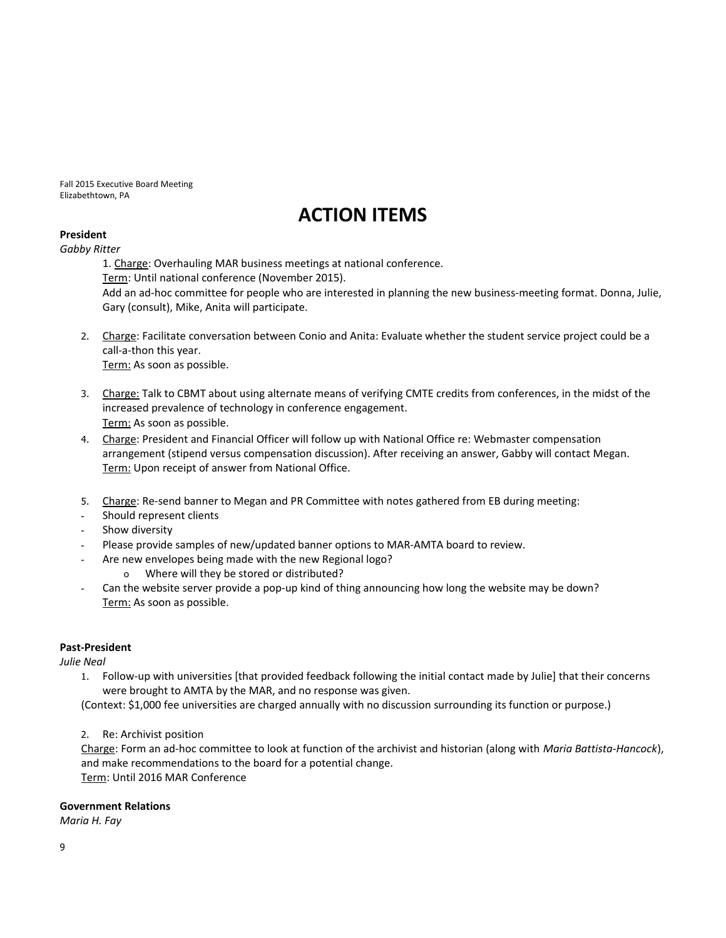Fall 2015 Executive Board Meeting Elizabethtown, PA

# **ACTION ITEMS**

# **President**

*Gabby Ritter*

1. Charge: Overhauling MAR business meetings at national conference. Term: Until national conference (November 2015). Add an ad-hoc committee for people who are interested in planning the new business-meeting format. Donna, Julie, Gary (consult), Mike, Anita will participate.

- 2. Charge: Facilitate conversation between Conio and Anita: Evaluate whether the student service project could be a call-a-thon this year. Term: As soon as possible.
- 3. Charge: Talk to CBMT about using alternate means of verifying CMTE credits from conferences, in the midst of the increased prevalence of technology in conference engagement. Term: As soon as possible.
- 4. Charge: President and Financial Officer will follow up with National Office re: Webmaster compensation arrangement (stipend versus compensation discussion). After receiving an answer, Gabby will contact Megan. Term: Upon receipt of answer from National Office.
- 5. Charge: Re-send banner to Megan and PR Committee with notes gathered from EB during meeting:
- Should represent clients
- Show diversity
- Please provide samples of new/updated banner options to MAR-AMTA board to review.
- Are new envelopes being made with the new Regional logo?
	- o Where will they be stored or distributed?
- Can the website server provide a pop-up kind of thing announcing how long the website may be down? Term: As soon as possible.

## **Past-President**

*Julie Neal*

1. Follow-up with universities [that provided feedback following the initial contact made by Julie] that their concerns were brought to AMTA by the MAR, and no response was given.

(Context: \$1,000 fee universities are charged annually with no discussion surrounding its function or purpose.)

2. Re: Archivist position

Charge: Form an ad-hoc committee to look at function of the archivist and historian (along with *Maria Battista-Hancock*), and make recommendations to the board for a potential change. Term: Until 2016 MAR Conference

## **Government Relations**

*Maria H. Fay*